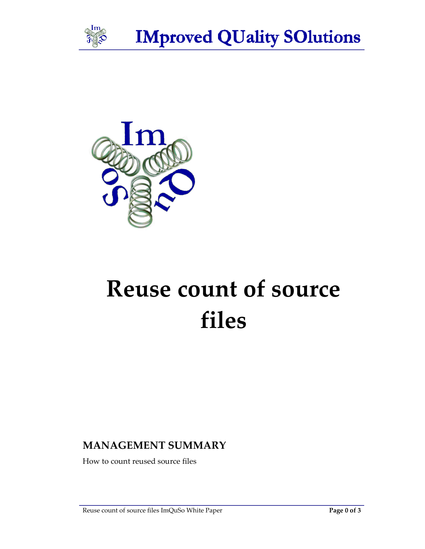

**IMproved QUality SOlutions** 



# Reuse count of source files

## MANAGEMENT SUMMARY

How to count reused source files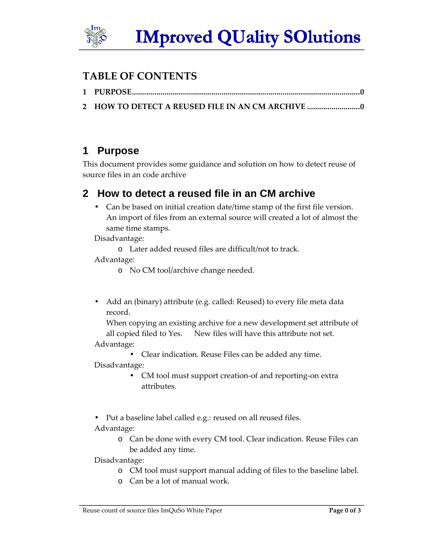

#### TABLE OF CONTENTS

2 HOW TO DETECT A REUSED FILE IN AN CM ARCHIVE ..................................

# **1 Purpose**

This document provides some guidance and solution on how to detect reuse of source files in an code archive

## **2 How to detect a reused file in an CM archive**

• Can be based on initial creation date/time stamp of the first file version. An import of files from an external source will created a lot of almost the same time stamps.

Disadvantage:

o Later added reused files are difficult/not to track.

Advantage:

- o No CM tool/archive change needed.
- Add an (binary) attribute (e.g. called: Reused) to every file meta data record.

When copying an existing archive for a new development set attribute of all copied filed to Yes. New files will have this attribute not set.

Advantage:

• Clear indication. Reuse Files can be added any time.

Disadvantage:

- CM tool must support creation-of and reporting-on extra attributes.
- Put a baseline label called e.g.: reused on all reused files.

Advantage:

o Can be done with every CM tool. Clear indication. Reuse Files can be added any time.

Disadvantage:

- o CM tool must support manual adding of files to the baseline label.
- o Can be a lot of manual work.